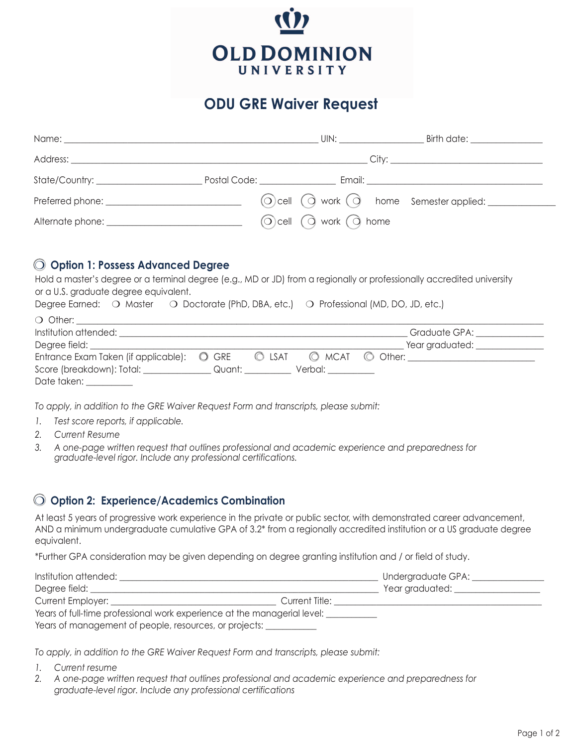

## **ODU GRE Waiver Request**

|                                                                                                                                                                                                                                     |                                                                                                                                                                                                                               | UIN:                                   | Birth date: _________________                                                                                                                                                                                                  |  |
|-------------------------------------------------------------------------------------------------------------------------------------------------------------------------------------------------------------------------------------|-------------------------------------------------------------------------------------------------------------------------------------------------------------------------------------------------------------------------------|----------------------------------------|--------------------------------------------------------------------------------------------------------------------------------------------------------------------------------------------------------------------------------|--|
| Address: <u>Address:</u> Address: Address: Address: Address: Address: Address: Address: Address: Address: Address: Address: Address: Address: Address: Address: Address: Address: Address: Address: Address: Address: Address: Addr |                                                                                                                                                                                                                               |                                        |                                                                                                                                                                                                                                |  |
|                                                                                                                                                                                                                                     | Postal Code: The Code Section of the Code Section of the Code Section of the Code Section of the Code Section of the Code Section of the Code Section of the Code Section of the Code Section of the Code Section of the Code |                                        | Email: Email: All and the state of the state of the state of the state of the state of the state of the state of the state of the state of the state of the state of the state of the state of the state of the state of the s |  |
|                                                                                                                                                                                                                                     |                                                                                                                                                                                                                               |                                        | ⊙) cell ○ work (○ home Semester applied: <u>______</u>                                                                                                                                                                         |  |
|                                                                                                                                                                                                                                     |                                                                                                                                                                                                                               | $\odot$ cell $\odot$ work $\odot$ home |                                                                                                                                                                                                                                |  |

## m **Option 1: Possess Advanced Degree**

Hold a master's degree or a terminal degree (e.g., MD or JD) from a regionally or professionally accredited university or a U.S. graduate degree equivalent.

|                       |                                                      |  |                                                               | Degree Earned: O Master O Doctorate (PhD, DBA, etc.) O Professional (MD, DO, JD, etc.)               |  |
|-----------------------|------------------------------------------------------|--|---------------------------------------------------------------|------------------------------------------------------------------------------------------------------|--|
| $\bigcirc$ Other:     |                                                      |  |                                                               |                                                                                                      |  |
| Institution attended: |                                                      |  |                                                               | Graduate GPA: The Contract of the Contract of the Contract of the Contract of the Contract of the Co |  |
|                       |                                                      |  |                                                               | Year graduated:                                                                                      |  |
|                       | Entrance Exam Taken (if applicable):<br><b>O</b> GRE |  | $\circledcirc$ LSAT $\circledcirc$ MCAT $\circledcirc$ Other: |                                                                                                      |  |

*To apply, in addition to the GRE Waiver Request Form and transcripts, please submit:* 

Score (breakdown): Total: \_\_\_\_\_\_\_\_\_\_\_\_\_\_\_\_ Quant: \_\_\_\_\_\_\_\_\_\_\_ Verbal: \_\_\_\_\_\_\_\_\_\_\_

- *1. Test score reports, if applicable.*
- *2. Current Resume*

Date taken:

*3. A one-page written request that outlines professional and academic experience and preparedness for graduate-level rigor. Include any professional certifications.*

## m **Option 2: Experience/Academics Combination**

At least 5 years of progressive work experience in the private or public sector, with demonstrated career advancement, AND a minimum undergraduate cumulative GPA of 3.2\* from a regionally accredited institution or a US graduate degree equivalent.

\*Further GPA consideration may be given depending on degree granting institution and / or field of study.

| Institution attended:                                                    |                | Undergraduate GPA: |  |  |
|--------------------------------------------------------------------------|----------------|--------------------|--|--|
| Degree field:                                                            |                | Year graduated:    |  |  |
| <b>Current Employer:</b>                                                 | Current Title: |                    |  |  |
| Years of full-time professional work experience at the managerial level: |                |                    |  |  |
| Years of management of people, resources, or projects:                   |                |                    |  |  |

*To apply, in addition to the GRE Waiver Request Form and transcripts, please submit:*

- *1. Current resume*
- *2. A one-page written request that outlines professional and academic experience and preparedness for graduate-level rigor. Include any professional certifications*